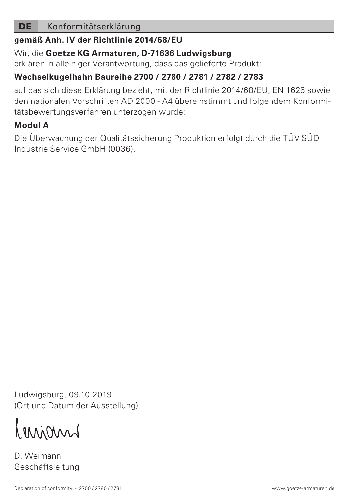## DE Konformitätserklärung

#### **gemäß Anh. IV der Richtlinie 2014/68/EU**

## Wir, die **Goetze KG Armaturen, D-71636 Ludwigsburg**

erklären in alleiniger Verantwortung, dass das gelieferte Produkt:

## **Wechselkugelhahn Baureihe 2700 / 2780 / 2781 / 2782 / 2783**

auf das sich diese Erklärung bezieht, mit der Richtlinie 2014/68/EU, EN 1626 sowie den nationalen Vorschriften AD 2000 - A4 übereinstimmt und folgendem Konformitätsbewertungsverfahren unterzogen wurde:

# **Modul A**

Die Überwachung der Qualitätssicherung Produktion erfolgt durch die TÜV SÜD Industrie Service GmbH (0036).

Ludwigsburg, 09.10.2019 (Ort und Datum der Ausstellung)

Innimal

D. Weimann Geschäftsleitung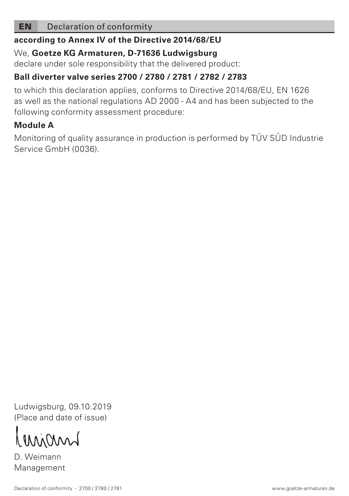## EN Declaration of conformity

#### **according to Annex IV of the Directive 2014/68/EU**

#### We, **Goetze KG Armaturen, D-71636 Ludwigsburg**

declare under sole responsibility that the delivered product:

## **Ball diverter valve series 2700 / 2780 / 2781 / 2782 / 2783**

to which this declaration applies, conforms to Directive 2014/68/EU, EN 1626 as well as the national regulations AD 2000 - A4 and has been subjected to the following conformity assessment procedure:

# **Module A**

Monitoring of quality assurance in production is performed by TÜV SÜD Industrie Service GmbH (0036).

Ludwigsburg, 09.10.2019 (Place and date of issue)

Minun

D. Weimann Management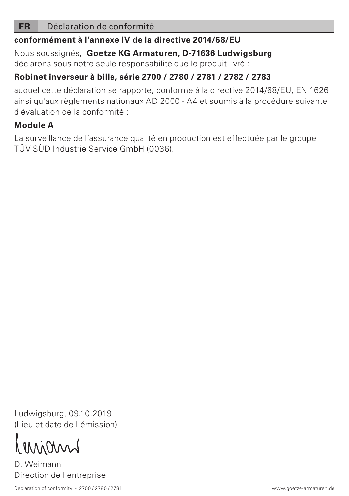#### FR Déclaration de conformité

## **conformément à l'annexe IV de la directive 2014/68/EU**

Nous soussignés, **Goetze KG Armaturen, D-71636 Ludwigsburg** déclarons sous notre seule responsabilité que le produit livré :

## **Robinet inverseur à bille, série 2700 / 2780 / 2781 / 2782 / 2783**

auquel cette déclaration se rapporte, conforme à la directive 2014/68/EU, EN 1626 ainsi qu'aux règlements nationaux AD 2000 - A4 et soumis à la procédure suivante d'évaluation de la conformité :

## **Module A**

La surveillance de l'assurance qualité en production est effectuée par le groupe TÜV SÜD Industrie Service GmbH (0036).

Ludwigsburg, 09.10.2019 (Lieu et date de l'émission)

MMM

D. Weimann Direction de l'entreprise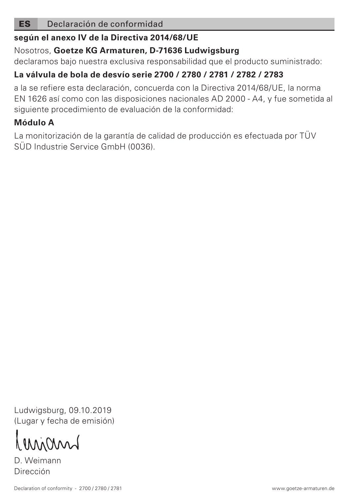#### ES Declaración de conformidad

## **según el anexo IV de la Directiva 2014/68/UE**

## Nosotros, **Goetze KG Armaturen, D-71636 Ludwigsburg**

declaramos bajo nuestra exclusiva responsabilidad que el producto suministrado:

## **La válvula de bola de desvío serie 2700 / 2780 / 2781 / 2782 / 2783**

a la se refiere esta declaración, concuerda con la Directiva 2014/68/UE, la norma EN 1626 así como con las disposiciones nacionales AD 2000 - A4, y fue sometida al siguiente procedimiento de evaluación de la conformidad:

## **Módulo A**

La monitorización de la garantía de calidad de producción es efectuada por TÜV SÜD Industrie Service GmbH (0036).

Ludwigsburg, 09.10.2019 (Lugar y fecha de emisión)

Minum

D. Weimann Dirección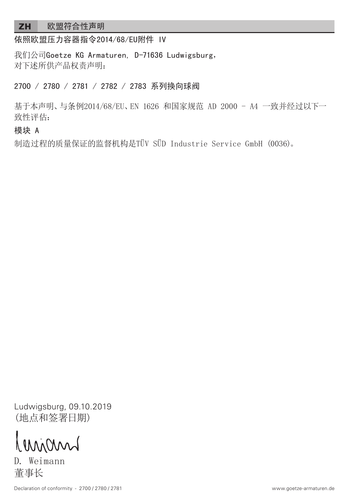## ZH 欧盟符合性声明

依照欧盟压力容器指令2014/68/EU附件 IV

我们公司Goetze KG Armaturen, D-71636 Ludwigsburg, 对下述所供产品权责声明:

2700 / 2780 / 2781 / 2782 / 2783 系列换向球阀

基于本声明、与条例2014/68/EU、EN 1626 和国家规范 AD 2000 - A4 一致并经过以下一 致性评估:

#### 模块 A

制造过程的质量保证的监督机构是TÜV SÜD Industrie Service GmbH (0036)。

Ludwigsburg, 09.10.2019 (地点和签署日期)

minn

D. Weimann 董事长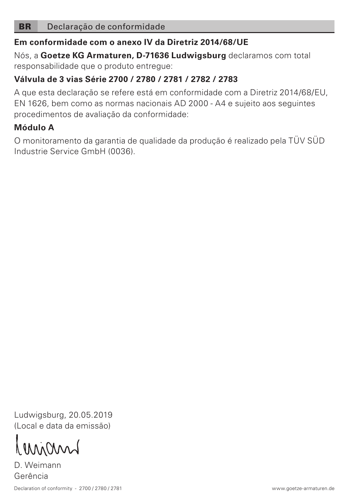### BR Declaração de conformidade

### **Em conformidade com o anexo IV da Diretriz 2014/68/UE**

Nós, a **Goetze KG Armaturen, D-71636 Ludwigsburg** declaramos com total responsabilidade que o produto entregue:

## **Válvula de 3 vias Série 2700 / 2780 / 2781 / 2782 / 2783**

A que esta declaração se refere está em conformidade com a Diretriz 2014/68/EU, EN 1626, bem como as normas nacionais AD 2000 - A4 e sujeito aos seguintes procedimentos de avaliação da conformidade:

## **Módulo A**

O monitoramento da garantia de qualidade da produção é realizado pela TÜV SÜD Industrie Service GmbH (0036).

Ludwigsburg, 20.05.2019 (Local e data da emissão)

LMMin

D. Weimann Gerência